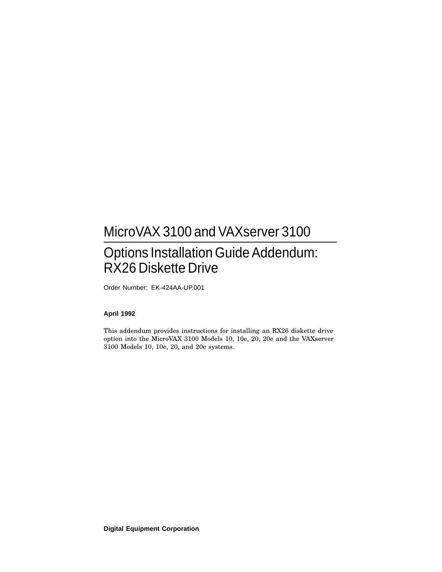# MicroVAX 3100 and VAXserver 3100

# Options Installation Guide Addendum: RX26 Diskette Drive

Order Number: EK-424AA-UP.001

### **April 1992**

This addendum provides instructions for installing an RX26 diskette drive option into the MicroVAX 3100 Models 10, 10e, 20, 20e and the VAXserver 3100 Models 10, 10e, 20, and 20e systems.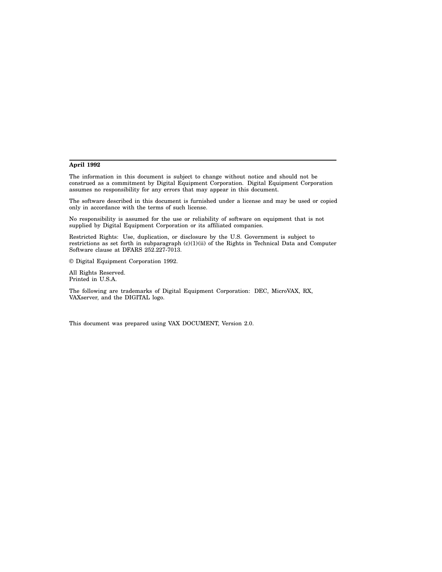#### **April 1992**

The information in this document is subject to change without notice and should not be construed as a commitment by Digital Equipment Corporation. Digital Equipment Corporation assumes no responsibility for any errors that may appear in this document.

The software described in this document is furnished under a license and may be used or copied only in accordance with the terms of such license.

No responsibility is assumed for the use or reliability of software on equipment that is not supplied by Digital Equipment Corporation or its affiliated companies.

Restricted Rights: Use, duplication, or disclosure by the U.S. Government is subject to restrictions as set forth in subparagraph (c)(1)(ii) of the Rights in Technical Data and Computer Software clause at DFARS 252.227-7013.

© Digital Equipment Corporation 1992.

All Rights Reserved. Printed in U.S.A.

The following are trademarks of Digital Equipment Corporation: DEC, MicroVAX, RX, VAXserver, and the DIGITAL logo.

This document was prepared using VAX DOCUMENT, Version 2.0.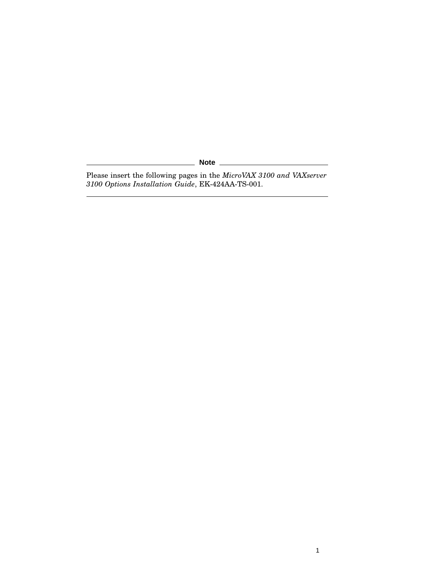**Note** \_\_\_\_\_\_\_

Please insert the following pages in the *MicroVAX 3100 and VAXserver 3100 Options Installation Guide*, EK-424AA-TS-001.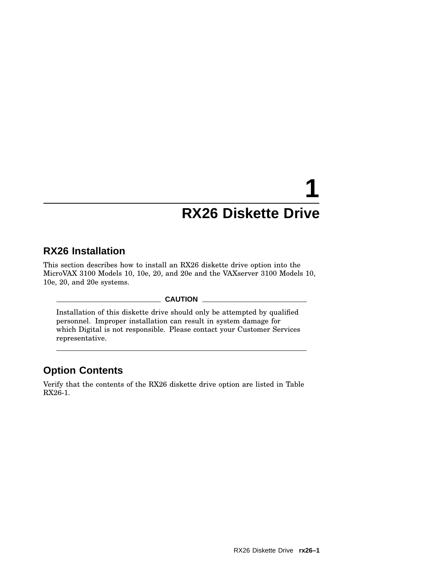# **1 RX26 Diskette Drive**

## **RX26 Installation**

This section describes how to install an RX26 diskette drive option into the MicroVAX 3100 Models 10, 10e, 20, and 20e and the VAXserver 3100 Models 10, 10e, 20, and 20e systems.

## **CAUTION**

Installation of this diskette drive should only be attempted by qualified personnel. Improper installation can result in system damage for which Digital is not responsible. Please contact your Customer Services representative.

## **Option Contents**

Verify that the contents of the RX26 diskette drive option are listed in Table RX26-1.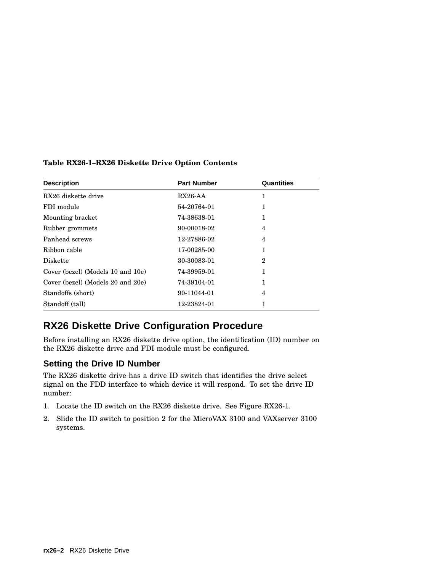| <b>Description</b>                | <b>Part Number</b> | Quantities     |
|-----------------------------------|--------------------|----------------|
| RX26 diskette drive               | $RX26-AA$          | 1              |
| FDI module                        | 54-20764-01        | 1              |
| Mounting bracket                  | 74-38638-01        | 1              |
| Rubber grommets                   | 90-00018-02        | 4              |
| Panhead screws                    | 12-27886-02        | $\overline{4}$ |
| Ribbon cable                      | 17-00285-00        | 1              |
| <b>Diskette</b>                   | 30-30083-01        | $\mathbf 2$    |
| Cover (bezel) (Models 10 and 10e) | 74-39959-01        | 1              |
| Cover (bezel) (Models 20 and 20e) | 74-39104-01        | 1              |
| Standoffs (short)                 | 90-11044-01        | 4              |
| Standoff (tall)                   | 12-23824-01        |                |

## **Table RX26-1–RX26 Diskette Drive Option Contents**

## **RX26 Diskette Drive Configuration Procedure**

Before installing an RX26 diskette drive option, the identification (ID) number on the RX26 diskette drive and FDI module must be configured.

## **Setting the Drive ID Number**

The RX26 diskette drive has a drive ID switch that identifies the drive select signal on the FDD interface to which device it will respond. To set the drive ID number:

- 1. Locate the ID switch on the RX26 diskette drive. See Figure RX26-1.
- 2. Slide the ID switch to position 2 for the MicroVAX 3100 and VAXserver 3100 systems.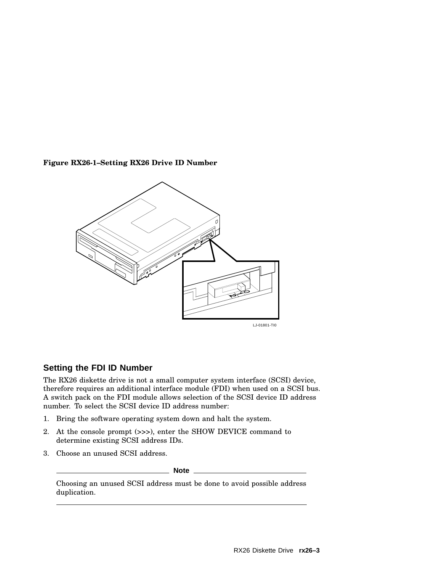**Figure RX26-1–Setting RX26 Drive ID Number**



## **Setting the FDI ID Number**

The RX26 diskette drive is not a small computer system interface (SCSI) device, therefore requires an additional interface module (FDI) when used on a SCSI bus. A switch pack on the FDI module allows selection of the SCSI device ID address number. To select the SCSI device ID address number:

- 1. Bring the software operating system down and halt the system.
- 2. At the console prompt (>>>), enter the SHOW DEVICE command to determine existing SCSI address IDs.
- 3. Choose an unused SCSI address.

**Note**

Choosing an unused SCSI address must be done to avoid possible address duplication.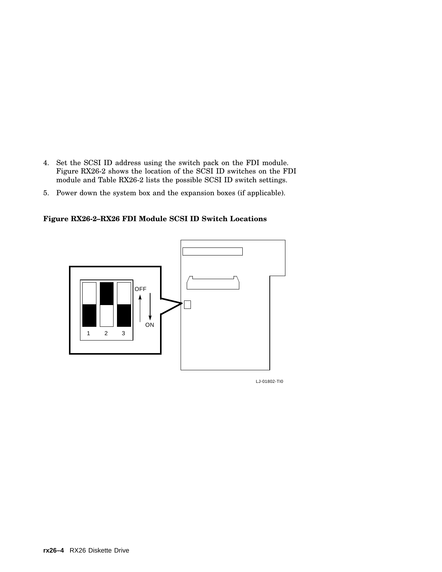- 4. Set the SCSI ID address using the switch pack on the FDI module. Figure RX26-2 shows the location of the SCSI ID switches on the FDI module and Table RX26-2 lists the possible SCSI ID switch settings.
- 5. Power down the system box and the expansion boxes (if applicable).

**Figure RX26-2–RX26 FDI Module SCSI ID Switch Locations**



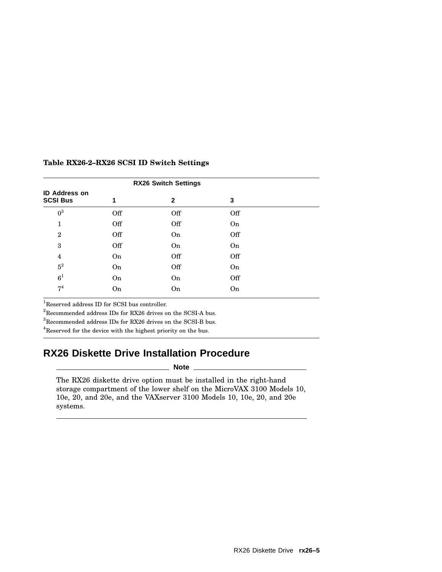| <b>RX26 Switch Settings</b>             |     |              |     |  |  |  |
|-----------------------------------------|-----|--------------|-----|--|--|--|
| <b>ID Address on</b><br><b>SCSI Bus</b> | 1   | $\mathbf{2}$ | 3   |  |  |  |
| $0^3$                                   | Off | Off          | Off |  |  |  |
| 1                                       | Off | Off          | On  |  |  |  |
| $\mathbf{2}$                            | Off | On           | Off |  |  |  |
| 3                                       | Off | <b>On</b>    | On  |  |  |  |
| $\overline{4}$                          | On  | Off          | Off |  |  |  |
| $5^2\,$                                 | On  | Off          | On  |  |  |  |
| $6^1$                                   | On  | On           | Off |  |  |  |
| 7 <sup>4</sup>                          | On  | On           | On  |  |  |  |

### **Table RX26-2–RX26 SCSI ID Switch Settings**

 $^1\!$  Reserved address ID for SCSI bus controller.

 $^2\mbox{Recommended address IDs for RX26 drives on the SCSI-A bus.}$ 

 $^3{\rm Recommended}$  address IDs for RX26 drives on the SCSI-B bus.

<sup>4</sup>Reserved for the device with the highest priority on the bus.

## **RX26 Diskette Drive Installation Procedure**

#### **Note**

The RX26 diskette drive option must be installed in the right-hand storage compartment of the lower shelf on the MicroVAX 3100 Models 10, 10e, 20, and 20e, and the VAXserver 3100 Models 10, 10e, 20, and 20e systems.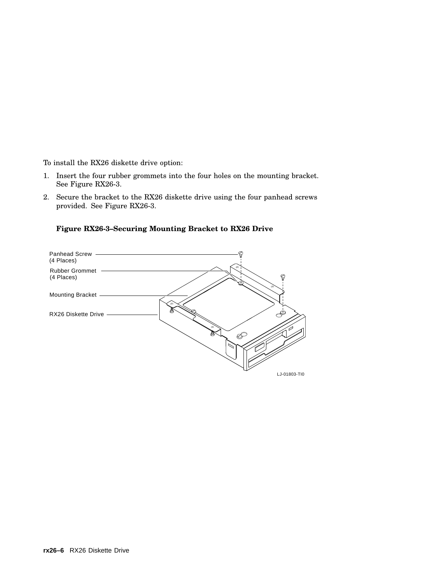To install the RX26 diskette drive option:

- 1. Insert the four rubber grommets into the four holes on the mounting bracket. See Figure RX26-3.
- 2. Secure the bracket to the RX26 diskette drive using the four panhead screws provided. See Figure RX26-3.

## **Figure RX26-3–Securing Mounting Bracket to RX26 Drive**

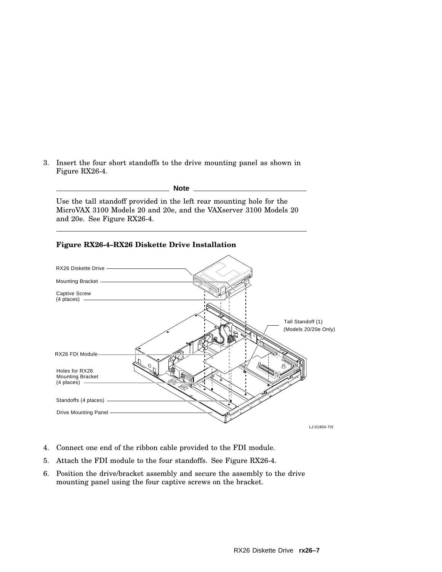3. Insert the four short standoffs to the drive mounting panel as shown in Figure RX26-4.

#### **Note**

Use the tall standoff provided in the left rear mounting hole for the MicroVAX 3100 Models 20 and 20e, and the VAXserver 3100 Models 20 and 20e. See Figure RX26-4.

### **Figure RX26-4–RX26 Diskette Drive Installation**



- 4. Connect one end of the ribbon cable provided to the FDI module.
- 5. Attach the FDI module to the four standoffs. See Figure RX26-4.
- 6. Position the drive/bracket assembly and secure the assembly to the drive mounting panel using the four captive screws on the bracket.